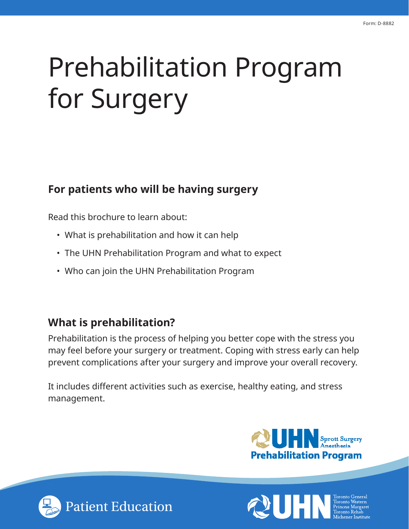# Prehabilitation Program for Surgery

## **For patients who will be having surgery**

Read this brochure to learn about:

- What is prehabilitation and how it can help
- The UHN Prehabilitation Program and what to expect
- Who can join the UHN Prehabilitation Program

## **What is prehabilitation?**

Prehabilitation is the process of helping you better cope with the stress you may feel before your surgery or treatment. Coping with stress early can help prevent complications after your surgery and improve your overall recovery.

It includes different activities such as exercise, healthy eating, and stress management.





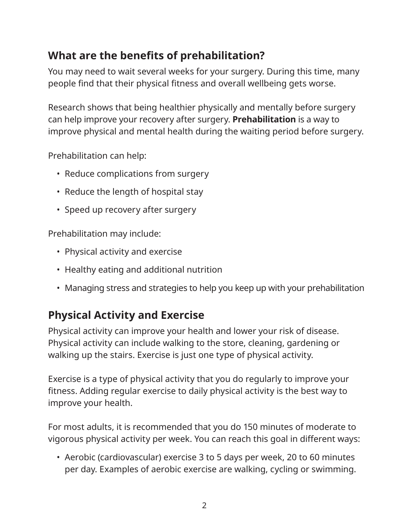# **What are the benefits of prehabilitation?**

You may need to wait several weeks for your surgery. During this time, many people find that their physical fitness and overall wellbeing gets worse.

Research shows that being healthier physically and mentally before surgery can help improve your recovery after surgery. **Prehabilitation** is a way to improve physical and mental health during the waiting period before surgery.

Prehabilitation can help:

- Reduce complications from surgery
- Reduce the length of hospital stay
- Speed up recovery after surgery

Prehabilitation may include:

- Physical activity and exercise
- Healthy eating and additional nutrition
- Managing stress and strategies to help you keep up with your prehabilitation

# **Physical Activity and Exercise**

Physical activity can improve your health and lower your risk of disease. Physical activity can include walking to the store, cleaning, gardening or walking up the stairs. Exercise is just one type of physical activity.

Exercise is a type of physical activity that you do regularly to improve your fitness. Adding regular exercise to daily physical activity is the best way to improve your health.

For most adults, it is recommended that you do 150 minutes of moderate to vigorous physical activity per week. You can reach this goal in different ways:

• Aerobic (cardiovascular) exercise 3 to 5 days per week, 20 to 60 minutes per day. Examples of aerobic exercise are walking, cycling or swimming.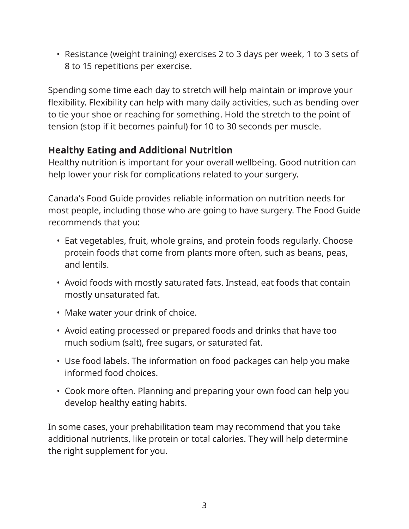• Resistance (weight training) exercises 2 to 3 days per week, 1 to 3 sets of 8 to 15 repetitions per exercise.

Spending some time each day to stretch will help maintain or improve your flexibility. Flexibility can help with many daily activities, such as bending over to tie your shoe or reaching for something. Hold the stretch to the point of tension (stop if it becomes painful) for 10 to 30 seconds per muscle.

#### **Healthy Eating and Additional Nutrition**

Healthy nutrition is important for your overall wellbeing. Good nutrition can help lower your risk for complications related to your surgery.

Canada's Food Guide provides reliable information on nutrition needs for most people, including those who are going to have surgery. The Food Guide recommends that you:

- Eat vegetables, fruit, whole grains, and protein foods regularly. Choose protein foods that come from plants more often, such as beans, peas, and lentils.
- Avoid foods with mostly saturated fats. Instead, eat foods that contain mostly unsaturated fat.
- Make water your drink of choice.
- Avoid eating processed or prepared foods and drinks that have too much sodium (salt), free sugars, or saturated fat.
- Use food labels. The information on food packages can help you make informed food choices.
- Cook more often. Planning and preparing your own food can help you develop healthy eating habits.

In some cases, your prehabilitation team may recommend that you take additional nutrients, like protein or total calories. They will help determine the right supplement for you.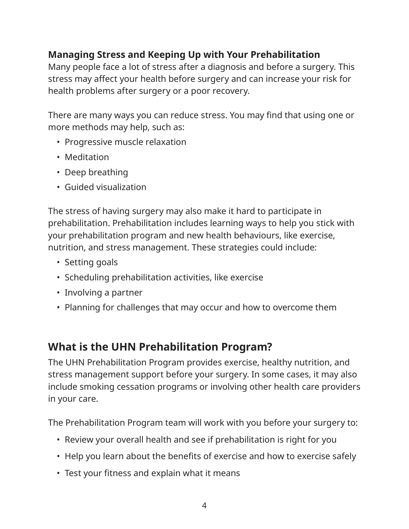#### **Managing Stress and Keeping Up with Your Prehabilitation**

Many people face a lot of stress after a diagnosis and before a surgery. This stress may affect your health before surgery and can increase your risk for health problems after surgery or a poor recovery.

There are many ways you can reduce stress. You may find that using one or more methods may help, such as:

- Progressive muscle relaxation
- Meditation
- Deep breathing
- Guided visualization

The stress of having surgery may also make it hard to participate in prehabilitation. Prehabilitation includes learning ways to help you stick with your prehabilitation program and new health behaviours, like exercise, nutrition, and stress management. These strategies could include:

- Setting goals
- Scheduling prehabilitation activities, like exercise
- Involving a partner
- Planning for challenges that may occur and how to overcome them

## **What is the UHN Prehabilitation Program?**

The UHN Prehabilitation Program provides exercise, healthy nutrition, and stress management support before your surgery. In some cases, it may also include smoking cessation programs or involving other health care providers in your care.

The Prehabilitation Program team will work with you before your surgery to:

- Review your overall health and see if prehabilitation is right for you
- Help you learn about the benefits of exercise and how to exercise safely
- Test your fitness and explain what it means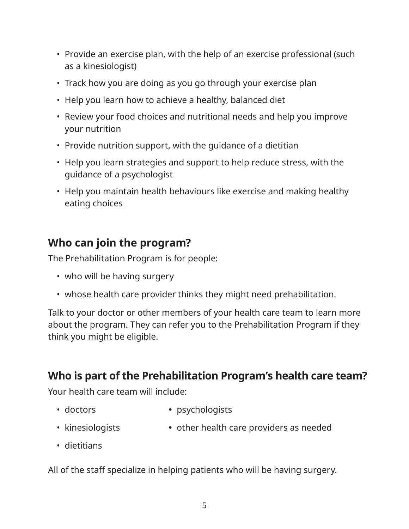- Provide an exercise plan, with the help of an exercise professional (such as a kinesiologist)
- Track how you are doing as you go through your exercise plan
- Help you learn how to achieve a healthy, balanced diet
- Review your food choices and nutritional needs and help you improve your nutrition
- Provide nutrition support, with the guidance of a dietitian
- Help you learn strategies and support to help reduce stress, with the guidance of a psychologist
- Help you maintain health behaviours like exercise and making healthy eating choices

# **Who can join the program?**

The Prehabilitation Program is for people:

- who will be having surgery
- whose health care provider thinks they might need prehabilitation.

Talk to your doctor or other members of your health care team to learn more about the program. They can refer you to the Prehabilitation Program if they think you might be eligible.

#### **Who is part of the Prehabilitation Program's health care team?**

Your health care team will include:

- doctors psychologists
	-
- 
- kinesiologists other health care providers as needed
- dietitians

All of the staff specialize in helping patients who will be having surgery.